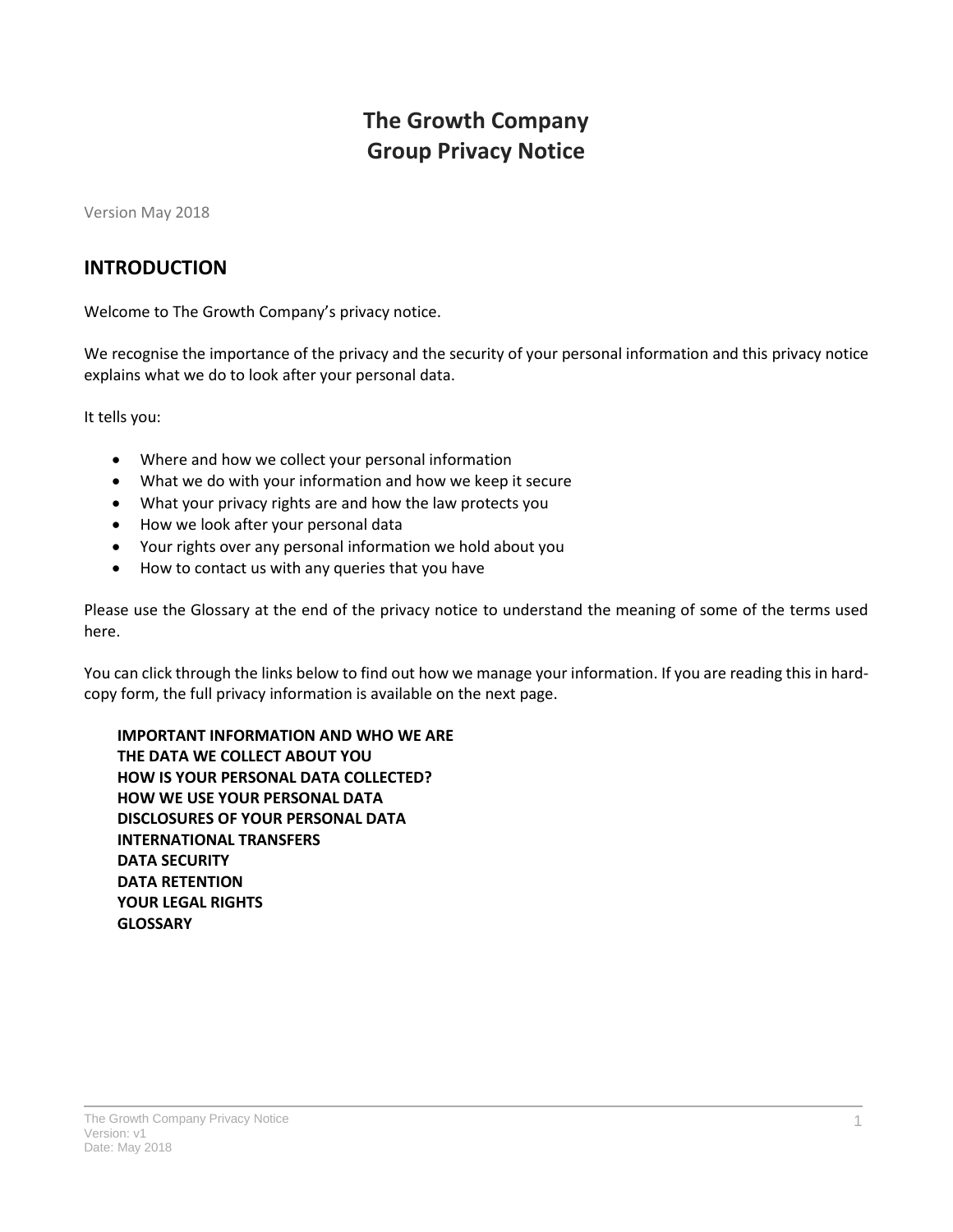# **The Growth Company Group Privacy Notice**

Version May 2018

#### **INTRODUCTION**

Welcome to The Growth Company's privacy notice.

We recognise the importance of the privacy and the security of your personal information and this privacy notice explains what we do to look after your personal data.

It tells you:

- Where and how we collect your personal information
- What we do with your information and how we keep it secure
- What your privacy rights are and how the law protects you
- How we look after your personal data
- Your rights over any personal information we hold about you
- How to contact us with any queries that you have

Please use the Glossary at the end of the privacy notice to understand the meaning of some of the terms used here.

You can click through the links below to find out how we manage your information. If you are reading this in hardcopy form, the full privacy information is available on the next page.

**[IMPORTANT INFORMATION AND WHO WE ARE](#page-1-0) [THE DATA WE COLLECT ABOUT YOU](#page-2-0) [HOW IS YOUR PERSONAL DATA COLLECTED?](#page-3-0) [HOW WE USE YOUR PERSONAL DATA](#page-4-0) [DISCLOSURES OF YOUR PERSONAL DATA](#page-8-0) [INTERNATIONAL TRANSFERS](#page-8-1) [DATA SECURITY](#page-9-0) [DATA RETENTION](#page-9-1) [YOUR LEGAL RIGHTS](#page-9-2) [GLOSSARY](#page-10-0)**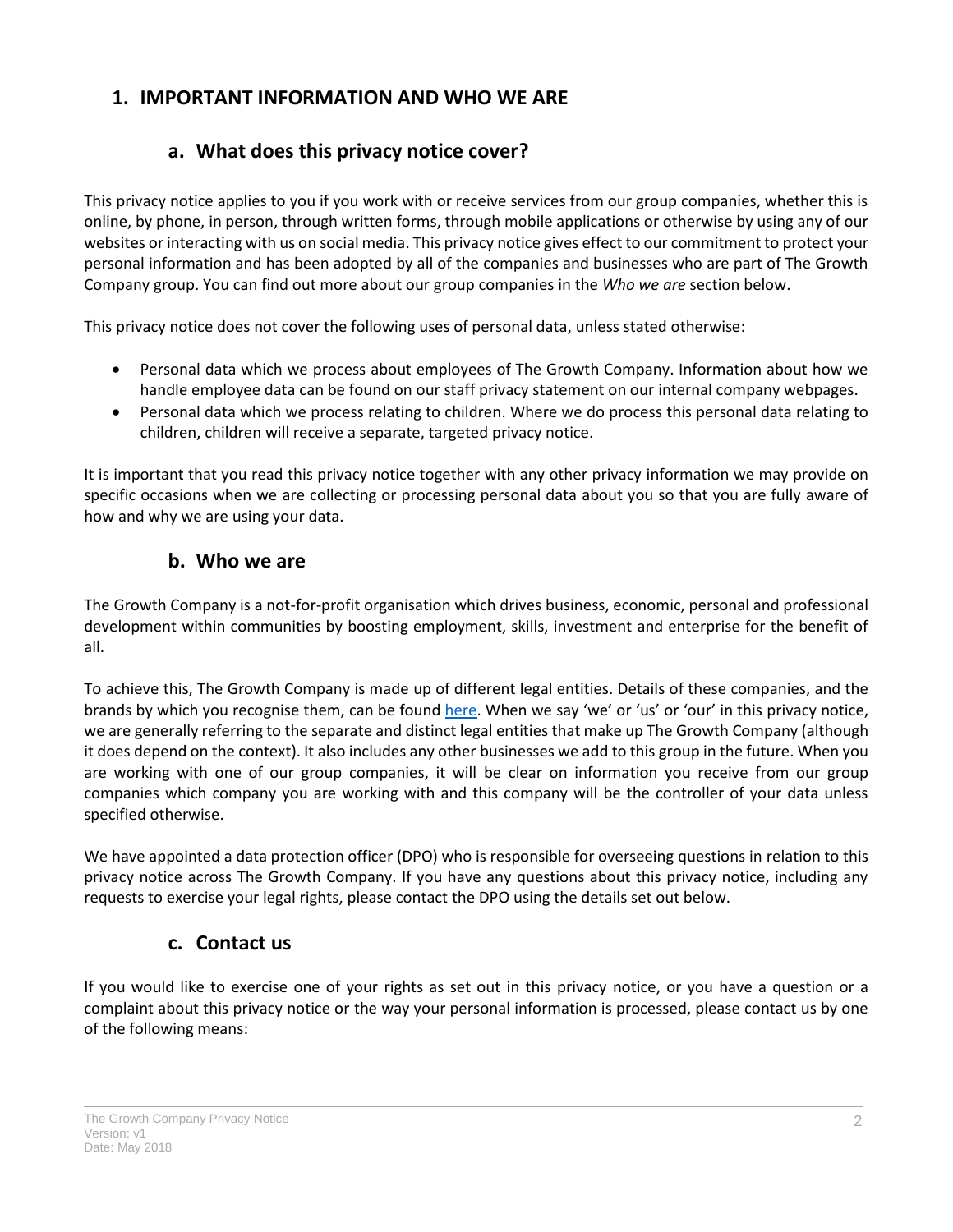### <span id="page-1-0"></span>**1. IMPORTANT INFORMATION AND WHO WE ARE**

### **a. What does this privacy notice cover?**

This privacy notice applies to you if you work with or receive services from our group companies, whether this is online, by phone, in person, through written forms, through mobile applications or otherwise by using any of our websites or interacting with us on social media. This privacy notice gives effect to our commitment to protect your personal information and has been adopted by all of the companies and businesses who are part of The Growth Company group. You can find out more about our group companies in the *[Who we are](#page-1-1)* section below.

This privacy notice does not cover the following uses of personal data, unless stated otherwise:

- Personal data which we process about employees of The Growth Company. Information about how we handle employee data can be found on our staff privacy statement on our internal company webpages.
- Personal data which we process relating to children. Where we do process this personal data relating to children, children will receive a separate, targeted privacy notice.

It is important that you read this privacy notice together with any other privacy information we may provide on specific occasions when we are collecting or processing personal data about you so that you are fully aware of how and why we are using your data.

### **b. Who we are**

<span id="page-1-1"></span>The Growth Company is a not-for-profit organisation which drives business, economic, personal and professional development within communities by boosting employment, skills, investment and enterprise for the benefit of all.

To achieve this, The Growth Company is made up of different legal entities. Details of these companies, and the brands by which you recognise them, can be found [here](http://www.growthco.uk/about-us/company-information/). When we say 'we' or 'us' or 'our' in this privacy notice, we are generally referring to the separate and distinct legal entities that make up The Growth Company (although it does depend on the context). It also includes any other businesses we add to this group in the future. When you are working with one of our group companies, it will be clear on information you receive from our group companies which company you are working with and this company will be the controller of your data unless specified otherwise.

<span id="page-1-2"></span>We have appointed a data protection officer (DPO) who is responsible for overseeing questions in relation to this privacy notice across The Growth Company. If you have any questions about this privacy notice, including any requests to exercise your legal rights, please contact the DPO using the details set out below.

#### **c. Contact us**

If you would like to exercise one of your rights as set out in this privacy notice, or you have a question or a complaint about this privacy notice or the way your personal information is processed, please contact us by one of the following means: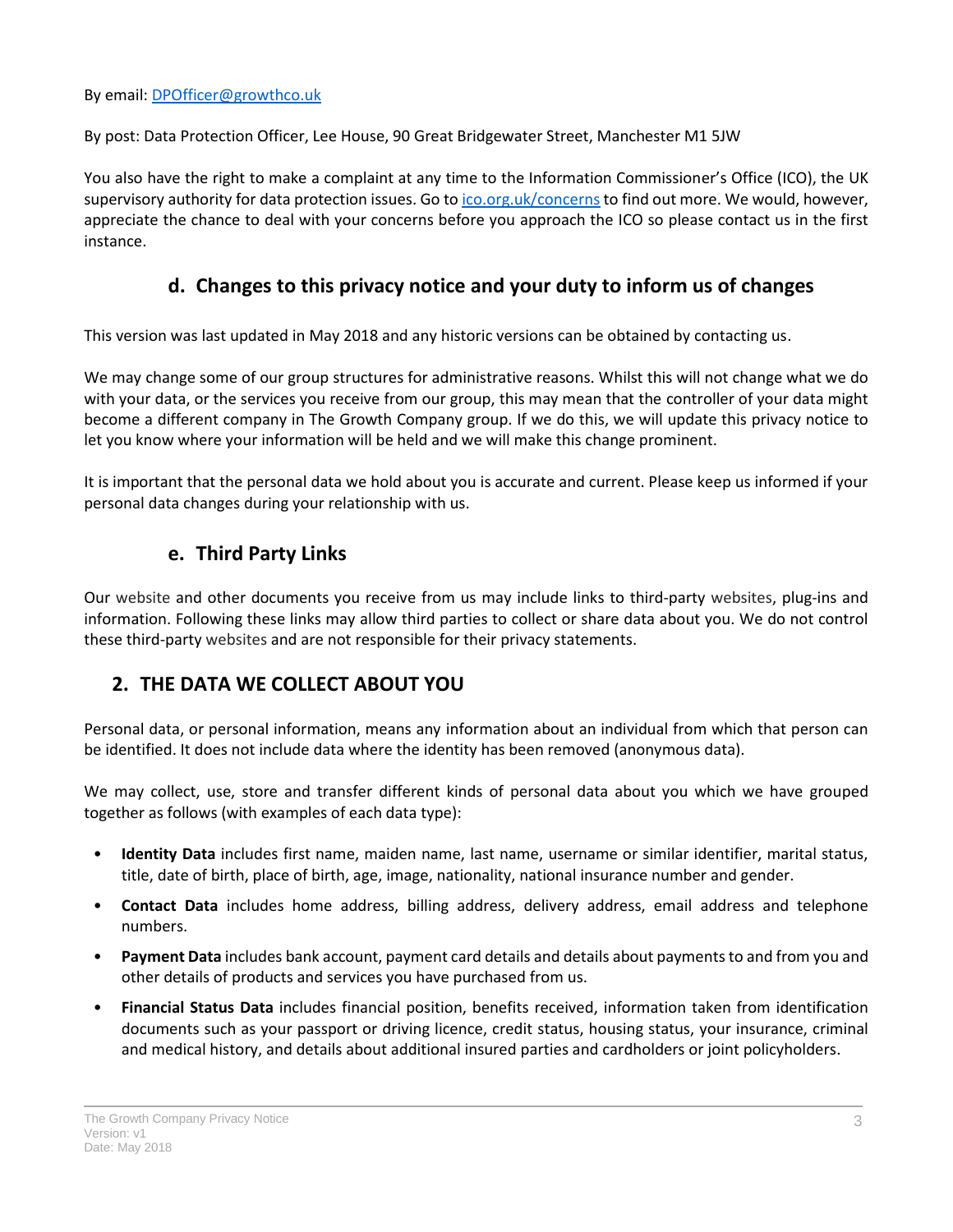By email: [DPOfficer@growthco.uk](mailto:DPOfficer@growthco.uk)

By post: Data Protection Officer, Lee House, 90 Great Bridgewater Street, Manchester M1 5JW

You also have the right to make a complaint at any time to the Information Commissioner's Office (ICO), the UK supervisory authority for data protection issues. Go to [ico.org.uk/concerns](http://ico.org.uk/concerns) to find out more. We would, however, appreciate the chance to deal with your concerns before you approach the ICO so please contact us in the first instance.

### **d. Changes to this privacy notice and your duty to inform us of changes**

This version was last updated in May 2018 and any historic versions can be obtained by contacting us.

We may change some of our group structures for administrative reasons. Whilst this will not change what we do with your data, or the services you receive from our group, this may mean that the controller of your data might become a different company in The Growth Company group. If we do this, we will update this privacy notice to let you know where your information will be held and we will make this change prominent.

It is important that the personal data we hold about you is accurate and current. Please keep us informed if your personal data changes during your relationship with us.

### **e. Third Party Links**

Our website and other documents you receive from us may include links to third-party websites, plug-ins and information. Following these links may allow third parties to collect or share data about you. We do not control these third-party websites and are not responsible for their privacy statements.

### <span id="page-2-0"></span>**2. THE DATA WE COLLECT ABOUT YOU**

Personal data, or personal information, means any information about an individual from which that person can be identified. It does not include data where the identity has been removed (anonymous data).

We may collect, use, store and transfer different kinds of personal data about you which we have grouped together as follows (with examples of each data type):

- **Identity Data** includes first name, maiden name, last name, username or similar identifier, marital status, title, date of birth, place of birth, age, image, nationality, national insurance number and gender.
- **Contact Data** includes home address, billing address, delivery address, email address and telephone numbers.
- **Payment Data** includes bank account, payment card details and details about payments to and from you and other details of products and services you have purchased from us.
- **Financial Status Data** includes financial position, benefits received, information taken from identification documents such as your passport or driving licence, credit status, housing status, your insurance, criminal and medical history, and details about additional insured parties and cardholders or joint policyholders.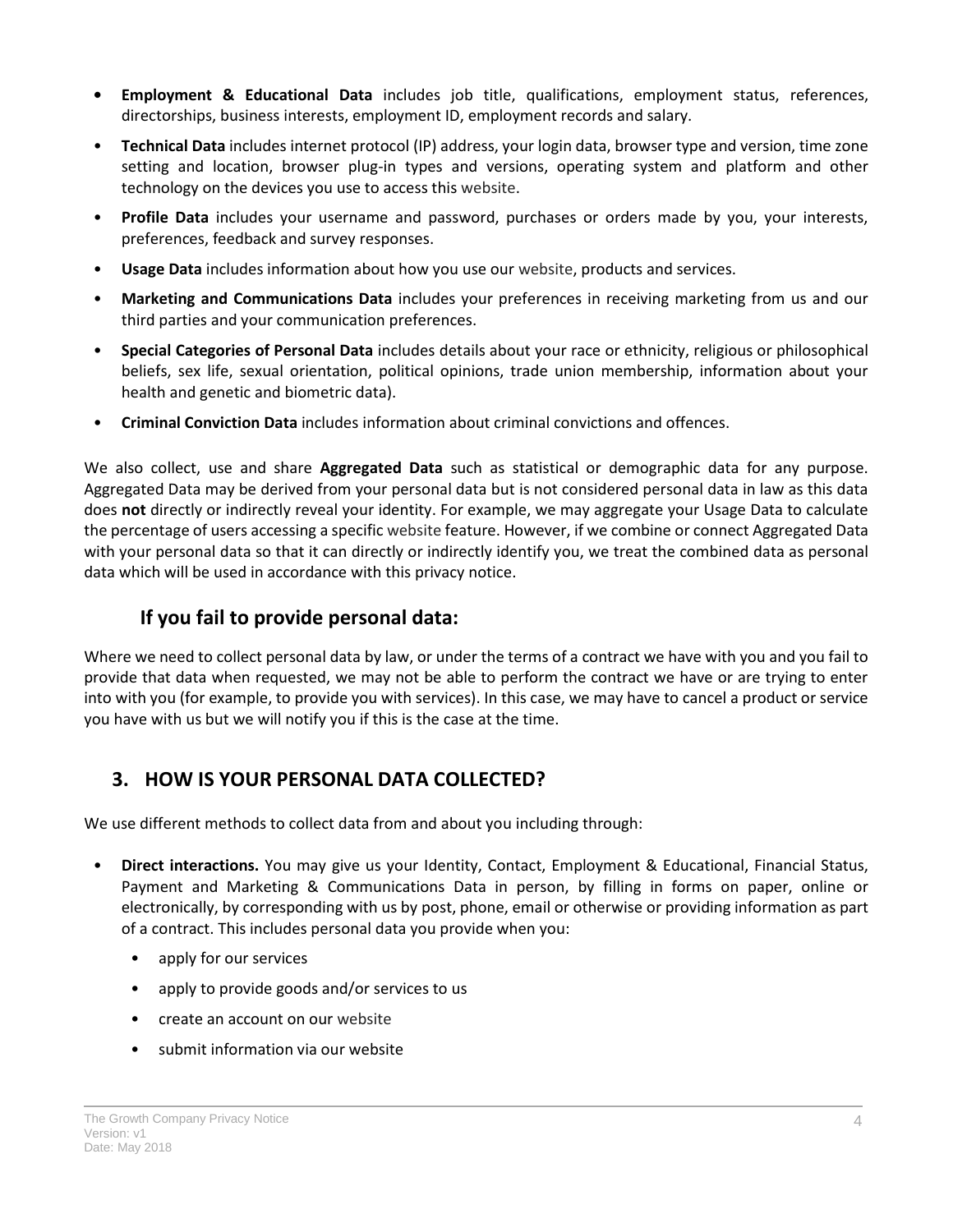- **• Employment & Educational Data** includes job title, qualifications, employment status, references, directorships, business interests, employment ID, employment records and salary.
- **Technical Data** includes internet protocol (IP) address, your login data, browser type and version, time zone setting and location, browser plug-in types and versions, operating system and platform and other technology on the devices you use to access this website.
- **Profile Data** includes your username and password, purchases or orders made by you, your interests, preferences, feedback and survey responses.
- **Usage Data** includes information about how you use our website, products and services.
- **Marketing and Communications Data** includes your preferences in receiving marketing from us and our third parties and your communication preferences.
- **Special Categories of Personal Data** includes details about your race or ethnicity, religious or philosophical beliefs, sex life, sexual orientation, political opinions, trade union membership, information about your health and genetic and biometric data).
- **Criminal Conviction Data** includes information about criminal convictions and offences.

We also collect, use and share **Aggregated Data** such as statistical or demographic data for any purpose. Aggregated Data may be derived from your personal data but is not considered personal data in law as this data does **not** directly or indirectly reveal your identity. For example, we may aggregate your Usage Data to calculate the percentage of users accessing a specific website feature. However, if we combine or connect Aggregated Data with your personal data so that it can directly or indirectly identify you, we treat the combined data as personal data which will be used in accordance with this privacy notice.

### **If you fail to provide personal data:**

Where we need to collect personal data by law, or under the terms of a contract we have with you and you fail to provide that data when requested, we may not be able to perform the contract we have or are trying to enter into with you (for example, to provide you with services). In this case, we may have to cancel a product or service you have with us but we will notify you if this is the case at the time.

### <span id="page-3-0"></span>**3. HOW IS YOUR PERSONAL DATA COLLECTED?**

We use different methods to collect data from and about you including through:

- **Direct interactions.** You may give us your Identity, Contact, Employment & Educational, Financial Status, Payment and Marketing & Communications Data in person, by filling in forms on paper, online or electronically, by corresponding with us by post, phone, email or otherwise or providing information as part of a contract. This includes personal data you provide when you:
	- apply for our services
	- apply to provide goods and/or services to us
	- create an account on our website
	- submit information via our website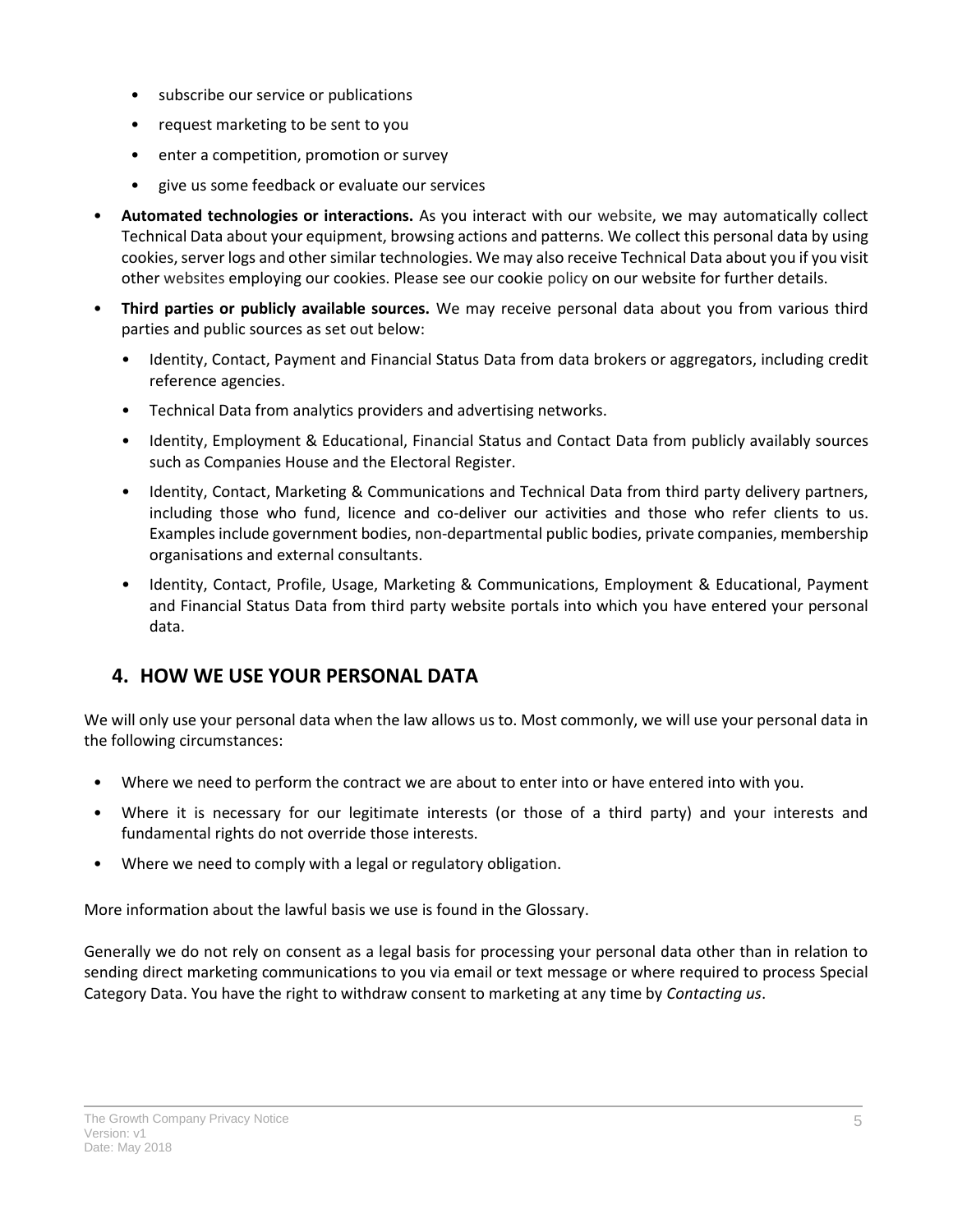- subscribe our service or publications
- request marketing to be sent to you
- enter a competition, promotion or survey
- give us some feedback or evaluate our services
- **Automated technologies or interactions.** As you interact with our website, we may automatically collect Technical Data about your equipment, browsing actions and patterns. We collect this personal data by using cookies, server logs and other similar technologies. We may also receive Technical Data about you if you visit other websites employing our cookies. Please see our cookie policy on our website for further details.
- **Third parties or publicly available sources.** We may receive personal data about you from various third parties and public sources as set out below:
	- Identity, Contact, Payment and Financial Status Data from data brokers or aggregators, including credit reference agencies.
	- Technical Data from analytics providers and advertising networks.
	- Identity, Employment & Educational, Financial Status and Contact Data from publicly availably sources such as Companies House and the Electoral Register.
	- Identity, Contact, Marketing & Communications and Technical Data from third party delivery partners, including those who fund, licence and co-deliver our activities and those who refer clients to us. Examples include government bodies, non-departmental public bodies, private companies, membership organisations and external consultants.
	- Identity, Contact, Profile, Usage, Marketing & Communications, Employment & Educational, Payment and Financial Status Data from third party website portals into which you have entered your personal data.

## <span id="page-4-0"></span>**4. HOW WE USE YOUR PERSONAL DATA**

We will only use your personal data when the law allows us to. Most commonly, we will use your personal data in the following circumstances:

- Where we need to perform the contract we are about to enter into or have entered into with you.
- Where it is necessary for our legitimate interests (or those of a third party) and your interests and fundamental rights do not override those interests.
- Where we need to comply with a legal or regulatory obligation.

More information about the lawful basis we use is found in the Glossary.

Generally we do not rely on consent as a legal basis for processing your personal data other than in relation to sending direct marketing communications to you via email or text message or where required to process Special Category Data. You have the right to withdraw consent to marketing at any time by *[Contacting us](#page-1-2)*.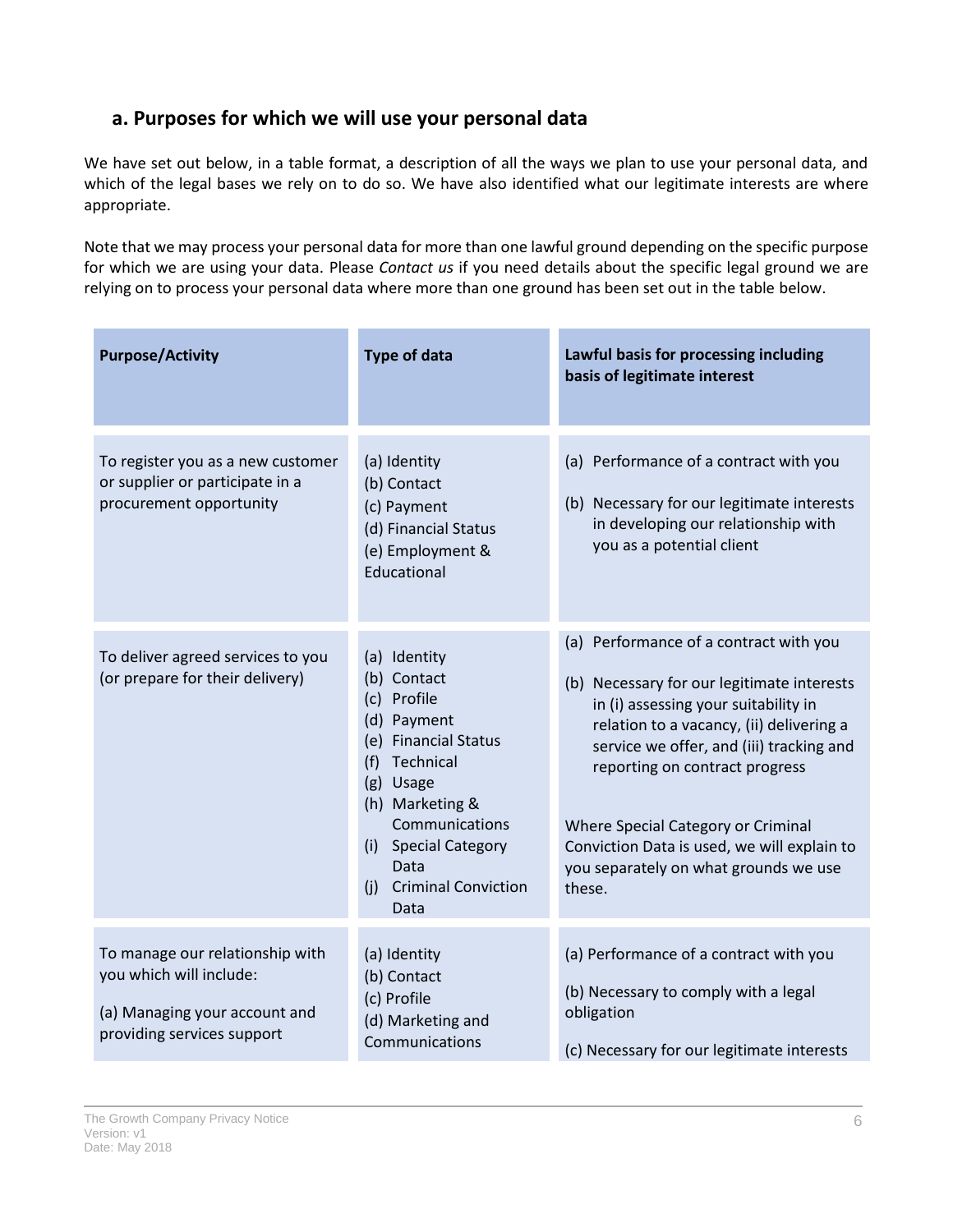### **a. Purposes for which we will use your personal data**

We have set out below, in a table format, a description of all the ways we plan to use your personal data, and which of the legal bases we rely on to do so. We have also identified what our legitimate interests are where appropriate.

Note that we may process your personal data for more than one lawful ground depending on the specific purpose for which we are using your data. Please *[Contact us](#page-1-2)* if you need details about the specific legal ground we are relying on to process your personal data where more than one ground has been set out in the table below.

| <b>Purpose/Activity</b>                                                                                                   | <b>Type of data</b>                                                                                                                                                                                                                  | Lawful basis for processing including<br>basis of legitimate interest                                                                                                                                                                                                                                                                                                                          |
|---------------------------------------------------------------------------------------------------------------------------|--------------------------------------------------------------------------------------------------------------------------------------------------------------------------------------------------------------------------------------|------------------------------------------------------------------------------------------------------------------------------------------------------------------------------------------------------------------------------------------------------------------------------------------------------------------------------------------------------------------------------------------------|
| To register you as a new customer<br>or supplier or participate in a<br>procurement opportunity                           | (a) Identity<br>(b) Contact<br>(c) Payment<br>(d) Financial Status<br>(e) Employment &<br>Educational                                                                                                                                | (a) Performance of a contract with you<br>(b) Necessary for our legitimate interests<br>in developing our relationship with<br>you as a potential client                                                                                                                                                                                                                                       |
| To deliver agreed services to you<br>(or prepare for their delivery)                                                      | (a) Identity<br>(b) Contact<br>(c) Profile<br>(d) Payment<br>(e) Financial Status<br>Technical<br>(f)<br>(g) Usage<br>(h) Marketing &<br>Communications<br>(i) Special Category<br>Data<br><b>Criminal Conviction</b><br>(i)<br>Data | (a) Performance of a contract with you<br>(b) Necessary for our legitimate interests<br>in (i) assessing your suitability in<br>relation to a vacancy, (ii) delivering a<br>service we offer, and (iii) tracking and<br>reporting on contract progress<br>Where Special Category or Criminal<br>Conviction Data is used, we will explain to<br>you separately on what grounds we use<br>these. |
| To manage our relationship with<br>you which will include:<br>(a) Managing your account and<br>providing services support | (a) Identity<br>(b) Contact<br>(c) Profile<br>(d) Marketing and<br>Communications                                                                                                                                                    | (a) Performance of a contract with you<br>(b) Necessary to comply with a legal<br>obligation<br>(c) Necessary for our legitimate interests                                                                                                                                                                                                                                                     |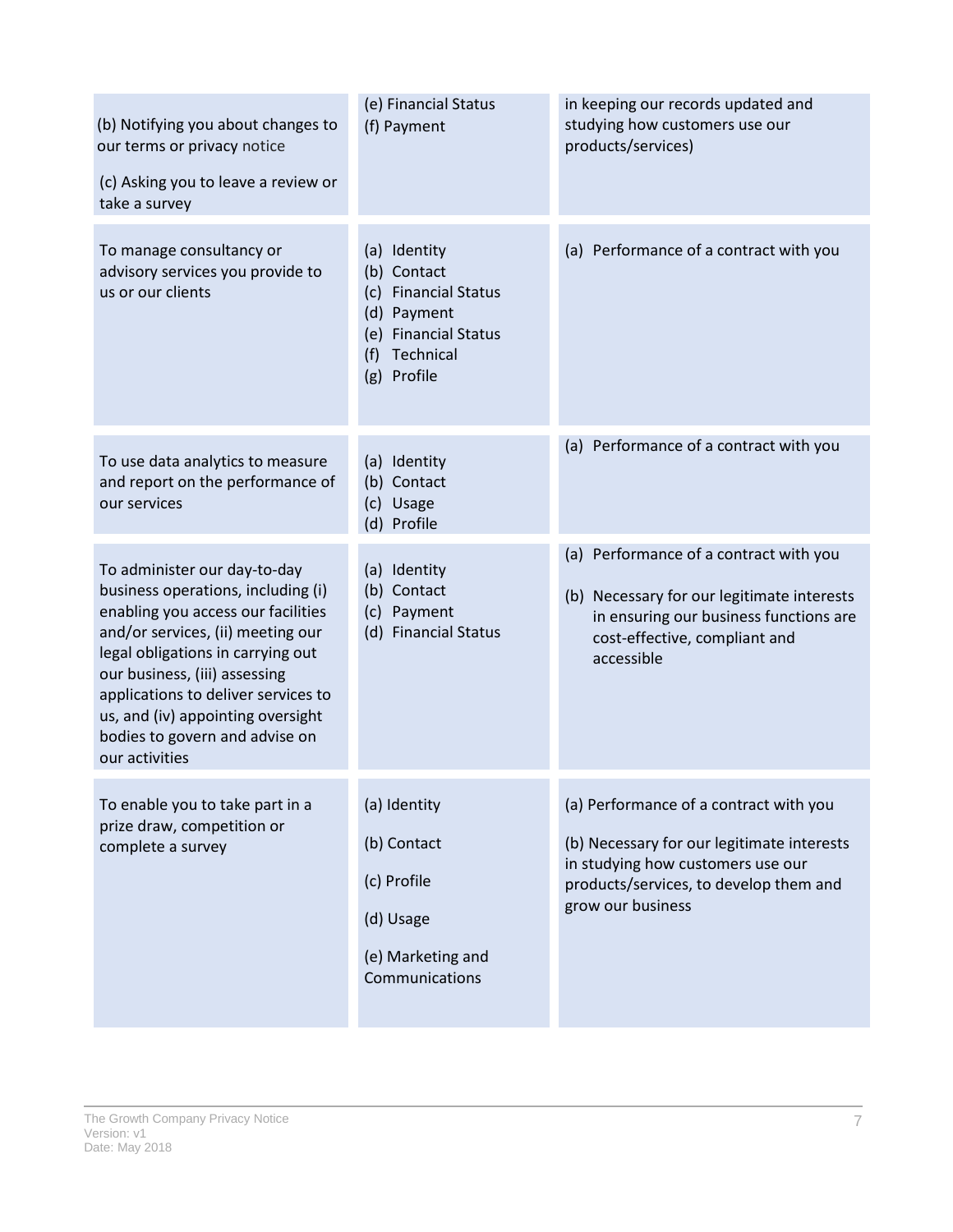| (b) Notifying you about changes to<br>our terms or privacy notice<br>(c) Asking you to leave a review or<br>take a survey                                                                                                                                                                                                                           | (e) Financial Status<br>(f) Payment                                                                                                                  | in keeping our records updated and<br>studying how customers use our<br>products/services)                                                                                               |
|-----------------------------------------------------------------------------------------------------------------------------------------------------------------------------------------------------------------------------------------------------------------------------------------------------------------------------------------------------|------------------------------------------------------------------------------------------------------------------------------------------------------|------------------------------------------------------------------------------------------------------------------------------------------------------------------------------------------|
| To manage consultancy or<br>advisory services you provide to<br>us or our clients                                                                                                                                                                                                                                                                   | (a) Identity<br>(b) Contact<br><b>Financial Status</b><br>(c)<br>(d) Payment<br><b>Financial Status</b><br>(e)<br>Technical<br>(f)<br>Profile<br>(g) | (a) Performance of a contract with you                                                                                                                                                   |
| To use data analytics to measure<br>and report on the performance of<br>our services                                                                                                                                                                                                                                                                | (a) Identity<br>(b) Contact<br>(c) Usage<br>(d) Profile                                                                                              | (a) Performance of a contract with you                                                                                                                                                   |
| To administer our day-to-day<br>business operations, including (i)<br>enabling you access our facilities<br>and/or services, (ii) meeting our<br>legal obligations in carrying out<br>our business, (iii) assessing<br>applications to deliver services to<br>us, and (iv) appointing oversight<br>bodies to govern and advise on<br>our activities | (a) Identity<br>Contact<br>(b)<br>(c) Payment<br>(d) Financial Status                                                                                | (a) Performance of a contract with you<br>(b) Necessary for our legitimate interests<br>in ensuring our business functions are<br>cost-effective, compliant and<br>accessible            |
| To enable you to take part in a<br>prize draw, competition or<br>complete a survey                                                                                                                                                                                                                                                                  | (a) Identity<br>(b) Contact<br>(c) Profile<br>(d) Usage<br>(e) Marketing and<br>Communications                                                       | (a) Performance of a contract with you<br>(b) Necessary for our legitimate interests<br>in studying how customers use our<br>products/services, to develop them and<br>grow our business |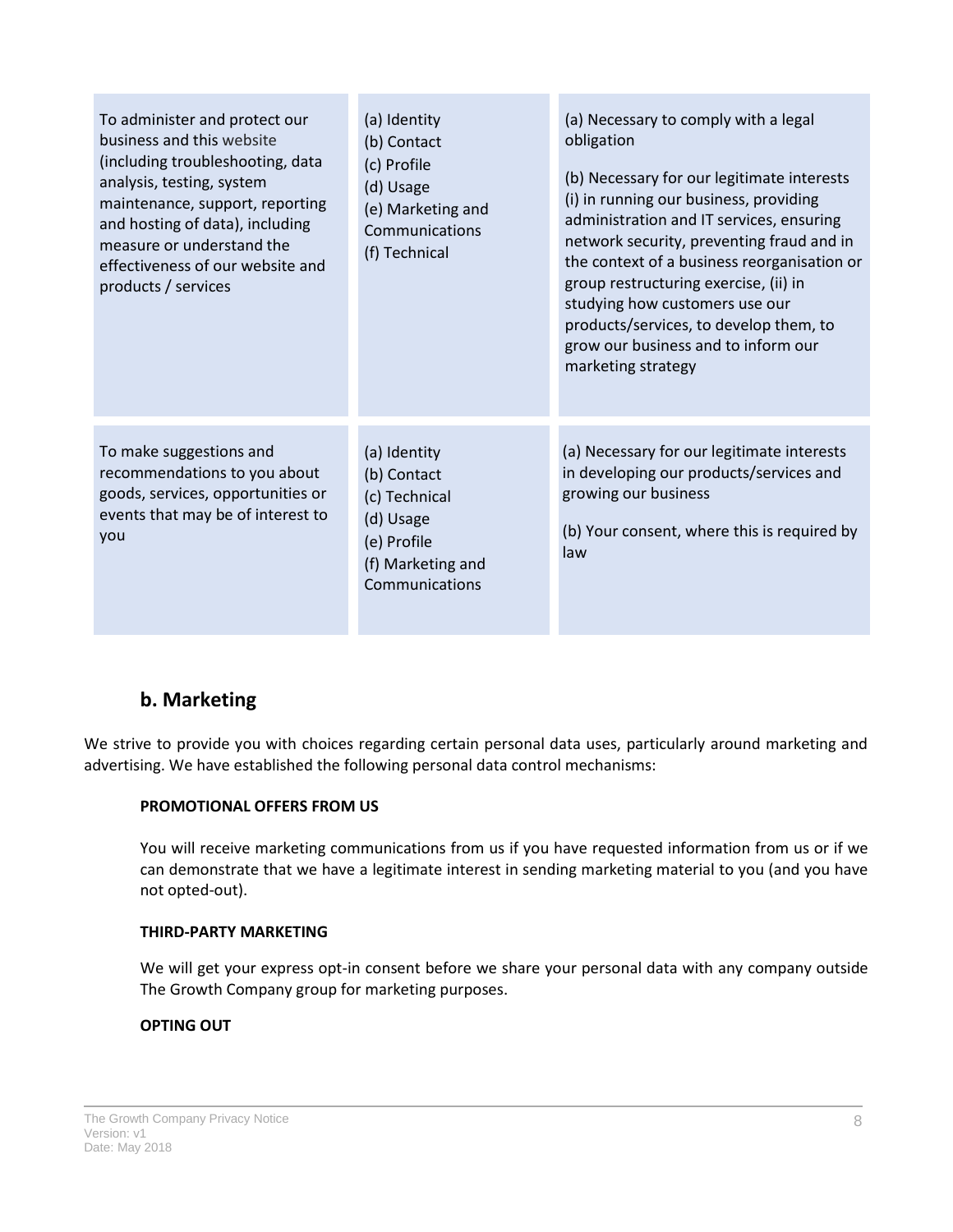| To administer and protect our<br>business and this website<br>(including troubleshooting, data<br>analysis, testing, system<br>maintenance, support, reporting<br>and hosting of data), including<br>measure or understand the<br>effectiveness of our website and<br>products / services | (a) Identity<br>(b) Contact<br>(c) Profile<br>(d) Usage<br>(e) Marketing and<br>Communications<br>(f) Technical | (a) Necessary to comply with a legal<br>obligation<br>(b) Necessary for our legitimate interests<br>(i) in running our business, providing<br>administration and IT services, ensuring<br>network security, preventing fraud and in<br>the context of a business reorganisation or<br>group restructuring exercise, (ii) in<br>studying how customers use our<br>products/services, to develop them, to<br>grow our business and to inform our<br>marketing strategy |
|-------------------------------------------------------------------------------------------------------------------------------------------------------------------------------------------------------------------------------------------------------------------------------------------|-----------------------------------------------------------------------------------------------------------------|----------------------------------------------------------------------------------------------------------------------------------------------------------------------------------------------------------------------------------------------------------------------------------------------------------------------------------------------------------------------------------------------------------------------------------------------------------------------|
| To make suggestions and<br>recommendations to you about<br>goods, services, opportunities or<br>events that may be of interest to<br>you                                                                                                                                                  | (a) Identity<br>(b) Contact<br>(c) Technical<br>(d) Usage<br>(e) Profile<br>(f) Marketing and<br>Communications | (a) Necessary for our legitimate interests<br>in developing our products/services and<br>growing our business<br>(b) Your consent, where this is required by<br>law                                                                                                                                                                                                                                                                                                  |

### **b. Marketing**

We strive to provide you with choices regarding certain personal data uses, particularly around marketing and advertising. We have established the following personal data control mechanisms:

#### **PROMOTIONAL OFFERS FROM US**

You will receive marketing communications from us if you have requested information from us or if we can demonstrate that we have a legitimate interest in sending marketing material to you (and you have not opted-out).

#### **THIRD-PARTY MARKETING**

We will get your express opt-in consent before we share your personal data with any company outside The Growth Company group for marketing purposes.

#### **OPTING OUT**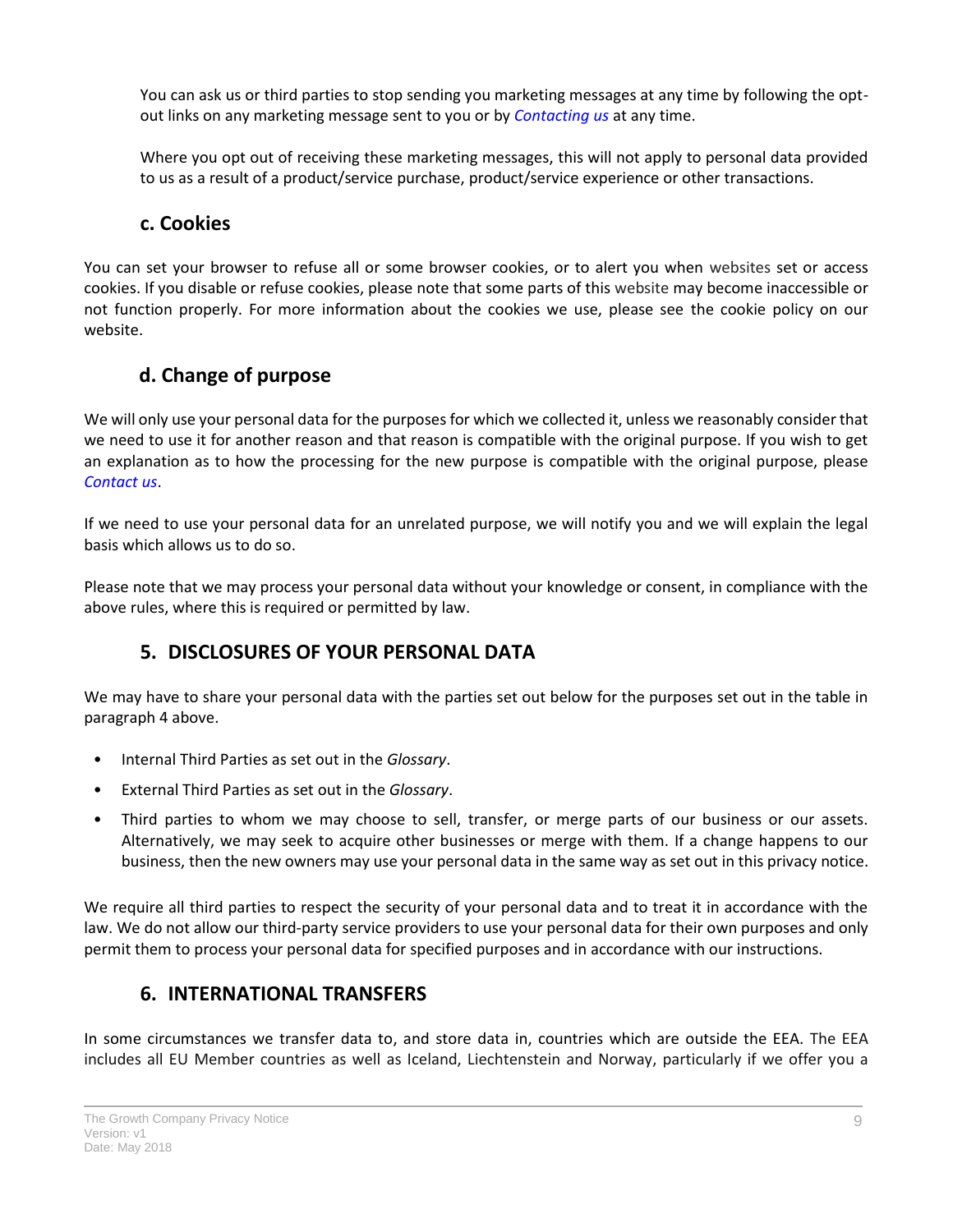You can ask us or third parties to stop sending you marketing messages at any time by following the optout links on any marketing message sent to you or by *[Contacting us](#page-1-2)* at any time.

Where you opt out of receiving these marketing messages, this will not apply to personal data provided to us as a result of a product/service purchase, product/service experience or other transactions.

#### **c. Cookies**

You can set your browser to refuse all or some browser cookies, or to alert you when websites set or access cookies. If you disable or refuse cookies, please note that some parts of this website may become inaccessible or not function properly. For more information about the cookies we use, please see the cookie policy on our website.

### **d. Change of purpose**

We will only use your personal data for the purposes for which we collected it, unless we reasonably consider that we need to use it for another reason and that reason is compatible with the original purpose. If you wish to get an explanation as to how the processing for the new purpose is compatible with the original purpose, please *[Contact us](#page-1-2)*.

If we need to use your personal data for an unrelated purpose, we will notify you and we will explain the legal basis which allows us to do so.

Please note that we may process your personal data without your knowledge or consent, in compliance with the above rules, where this is required or permitted by law.

### **5. DISCLOSURES OF YOUR PERSONAL DATA**

<span id="page-8-0"></span>We may have to share your personal data with the parties set out below for the purposes set out in the table in paragraph 4 above.

- Internal Third Parties as set out in the *Glossary*.
- External Third Parties as set out in the *Glossary*.
- Third parties to whom we may choose to sell, transfer, or merge parts of our business or our assets. Alternatively, we may seek to acquire other businesses or merge with them. If a change happens to our business, then the new owners may use your personal data in the same way as set out in this privacy notice.

We require all third parties to respect the security of your personal data and to treat it in accordance with the law. We do not allow our third-party service providers to use your personal data for their own purposes and only permit them to process your personal data for specified purposes and in accordance with our instructions.

### **6. INTERNATIONAL TRANSFERS**

<span id="page-8-1"></span>In some circumstances we transfer data to, and store data in, countries which are outside the EEA. The EEA includes all EU Member countries as well as Iceland, Liechtenstein and Norway, particularly if we offer you a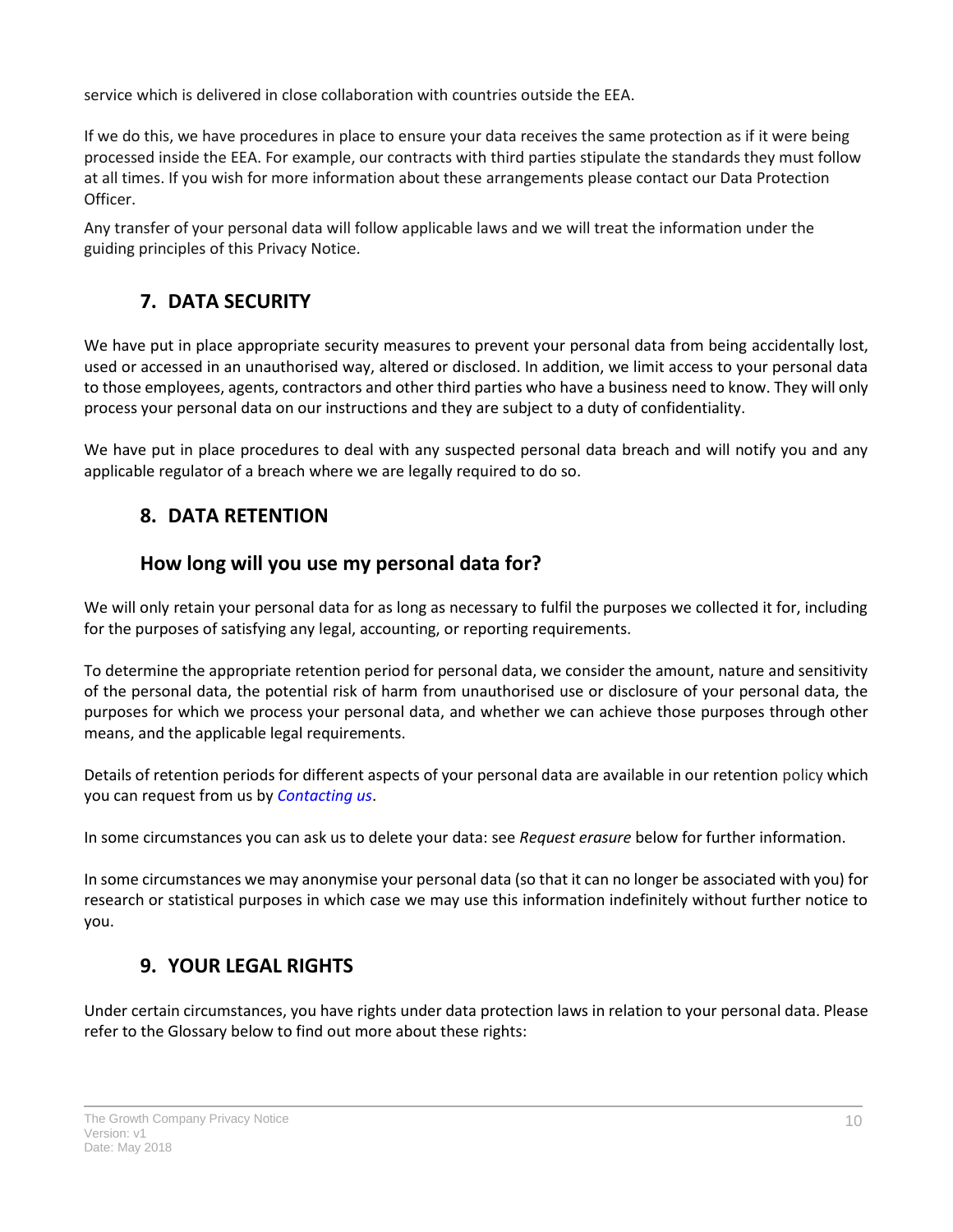service which is delivered in close collaboration with countries outside the EEA.

If we do this, we have procedures in place to ensure your data receives the same protection as if it were being processed inside the EEA. For example, our contracts with third parties stipulate the standards they must follow at all times. If you wish for more information about these arrangements please contact our Data Protection Officer.

Any transfer of your personal data will follow applicable laws and we will treat the information under the guiding principles of this Privacy Notice.

## **7. DATA SECURITY**

<span id="page-9-0"></span>We have put in place appropriate security measures to prevent your personal data from being accidentally lost, used or accessed in an unauthorised way, altered or disclosed. In addition, we limit access to your personal data to those employees, agents, contractors and other third parties who have a business need to know. They will only process your personal data on our instructions and they are subject to a duty of confidentiality.

We have put in place procedures to deal with any suspected personal data breach and will notify you and any applicable regulator of a breach where we are legally required to do so.

### <span id="page-9-1"></span>**8. DATA RETENTION**

### **How long will you use my personal data for?**

We will only retain your personal data for as long as necessary to fulfil the purposes we collected it for, including for the purposes of satisfying any legal, accounting, or reporting requirements.

To determine the appropriate retention period for personal data, we consider the amount, nature and sensitivity of the personal data, the potential risk of harm from unauthorised use or disclosure of your personal data, the purposes for which we process your personal data, and whether we can achieve those purposes through other means, and the applicable legal requirements.

Details of retention periods for different aspects of your personal data are available in our retention policy which you can request from us by *[Contacting us](#page-1-2)*.

In some circumstances you can ask us to delete your data: see *Request erasure* below for further information.

In some circumstances we may anonymise your personal data (so that it can no longer be associated with you) for research or statistical purposes in which case we may use this information indefinitely without further notice to you.

## **9. YOUR LEGAL RIGHTS**

<span id="page-9-2"></span>Under certain circumstances, you have rights under data protection laws in relation to your personal data. Please refer to the Glossary below to find out more about these rights: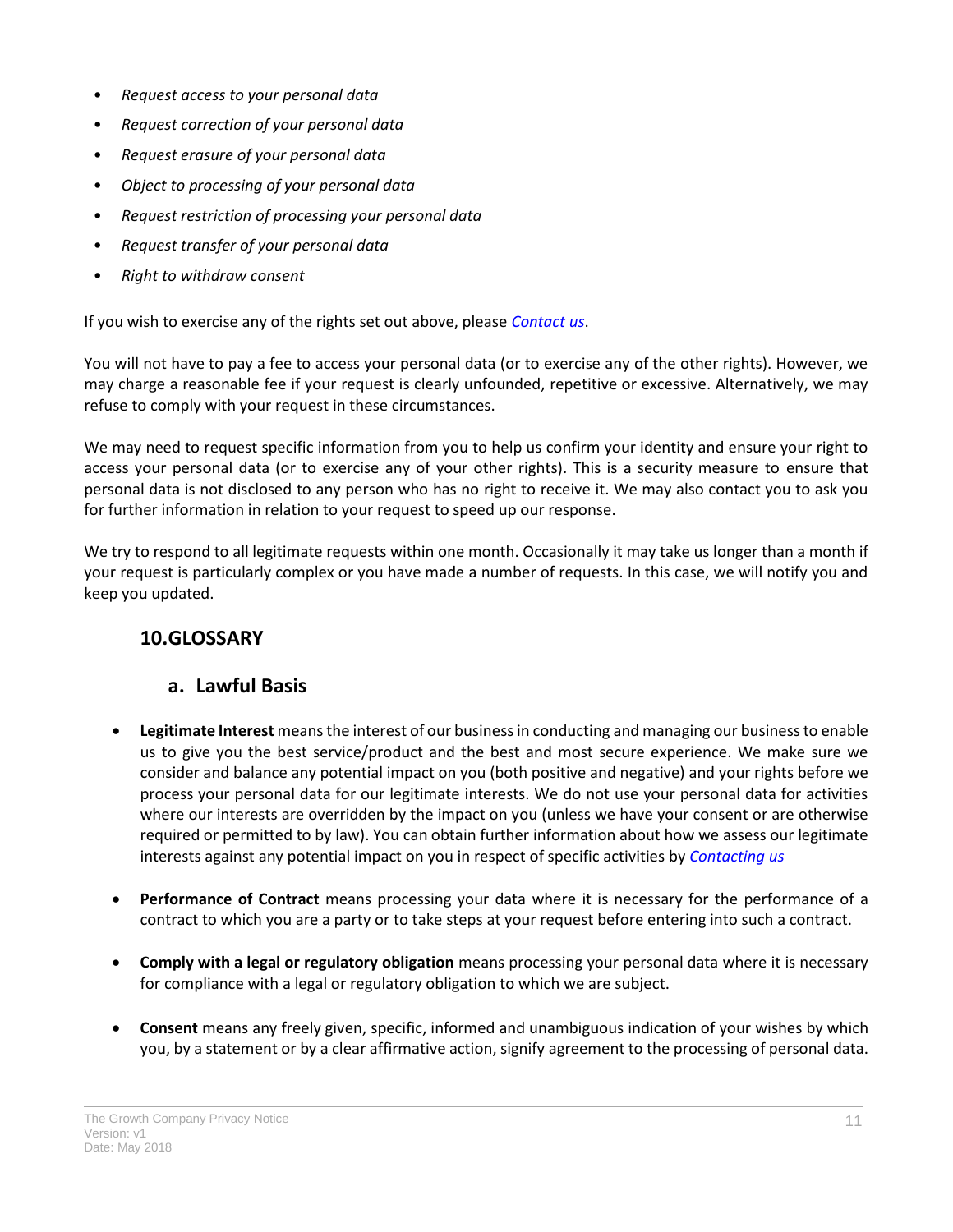- *Request access to your personal data*
- *Request correction of your personal data*
- *Request erasure of your personal data*
- *Object to processing of your personal data*
- *Request restriction of processing your personal data*
- *Request transfer of your personal data*
- *Right to withdraw consent*

If you wish to exercise any of the rights set out above, please *[Contact us](#page-1-2)*.

You will not have to pay a fee to access your personal data (or to exercise any of the other rights). However, we may charge a reasonable fee if your request is clearly unfounded, repetitive or excessive. Alternatively, we may refuse to comply with your request in these circumstances.

We may need to request specific information from you to help us confirm your identity and ensure your right to access your personal data (or to exercise any of your other rights). This is a security measure to ensure that personal data is not disclosed to any person who has no right to receive it. We may also contact you to ask you for further information in relation to your request to speed up our response.

We try to respond to all legitimate requests within one month. Occasionally it may take us longer than a month if your request is particularly complex or you have made a number of requests. In this case, we will notify you and keep you updated.

### <span id="page-10-0"></span>**10.GLOSSARY**

#### **a. Lawful Basis**

- **Legitimate Interest** means the interest of our business in conducting and managing our business to enable us to give you the best service/product and the best and most secure experience. We make sure we consider and balance any potential impact on you (both positive and negative) and your rights before we process your personal data for our legitimate interests. We do not use your personal data for activities where our interests are overridden by the impact on you (unless we have your consent or are otherwise required or permitted to by law). You can obtain further information about how we assess our legitimate interests against any potential impact on you in respect of specific activities by *[Contacting us](#page-1-2)*
- **Performance of Contract** means processing your data where it is necessary for the performance of a contract to which you are a party or to take steps at your request before entering into such a contract.
- **Comply with a legal or regulatory obligation** means processing your personal data where it is necessary for compliance with a legal or regulatory obligation to which we are subject.
- **Consent** means any freely given, specific, informed and unambiguous indication of your wishes by which you, by a statement or by a clear affirmative action, signify agreement to the processing of personal data.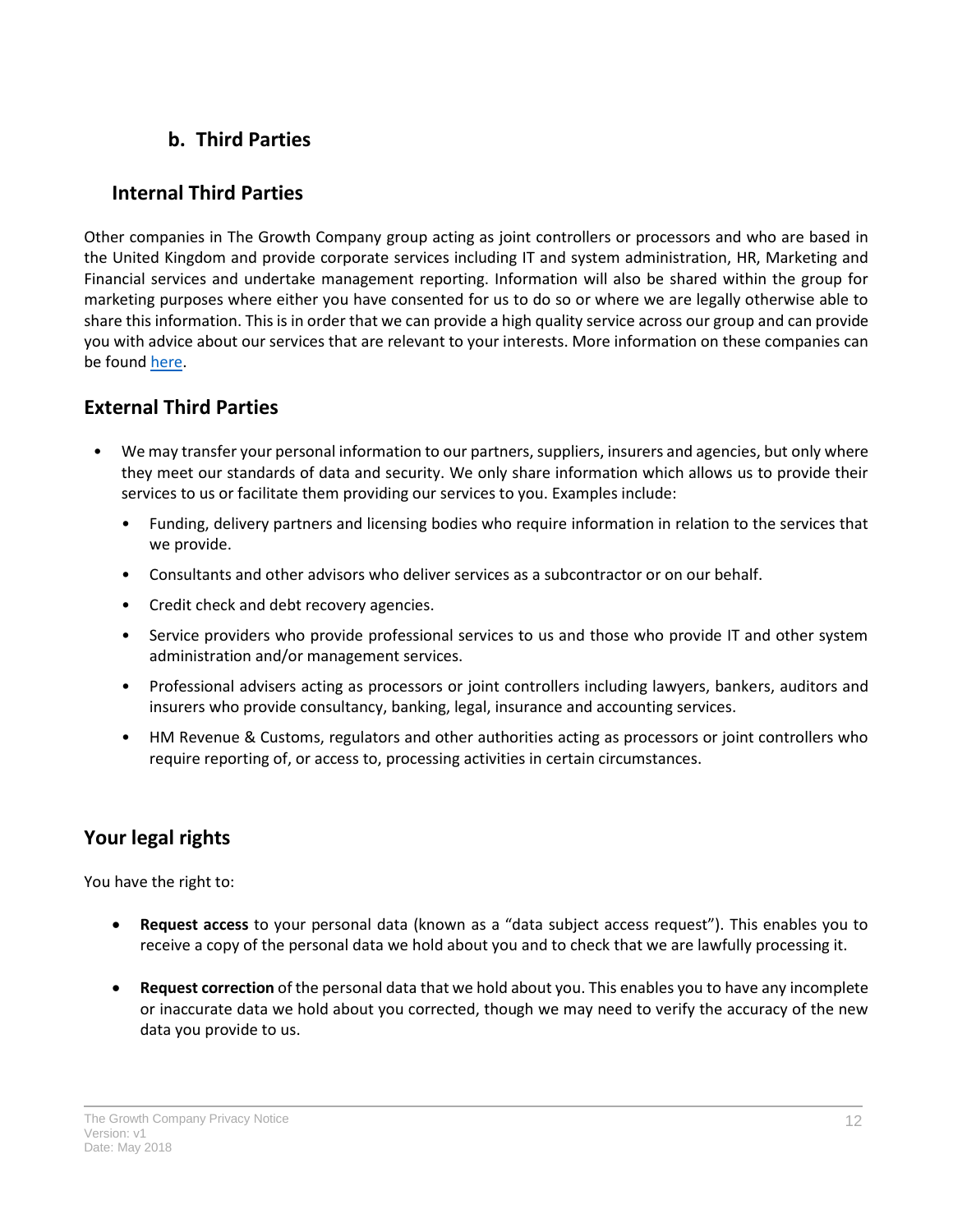### **b. Third Parties**

### **Internal Third Parties**

Other companies in The Growth Company group acting as joint controllers or processors and who are based in the United Kingdom and provide corporate services including IT and system administration, HR, Marketing and Financial services and undertake management reporting. Information will also be shared within the group for marketing purposes where either you have consented for us to do so or where we are legally otherwise able to share this information. This is in order that we can provide a high quality service across our group and can provide you with advice about our services that are relevant to your interests. More information on these companies can be foun[d here.](http://www.growthco.uk/about-us/company-information/)

### **External Third Parties**

- We may transfer your personal information to our partners, suppliers, insurers and agencies, but only where they meet our standards of data and security. We only share information which allows us to provide their services to us or facilitate them providing our services to you. Examples include:
	- Funding, delivery partners and licensing bodies who require information in relation to the services that we provide.
	- Consultants and other advisors who deliver services as a subcontractor or on our behalf.
	- Credit check and debt recovery agencies.
	- Service providers who provide professional services to us and those who provide IT and other system administration and/or management services.
	- Professional advisers acting as processors or joint controllers including lawyers, bankers, auditors and insurers who provide consultancy, banking, legal, insurance and accounting services.
	- HM Revenue & Customs, regulators and other authorities acting as processors or joint controllers who require reporting of, or access to, processing activities in certain circumstances.

### **Your legal rights**

You have the right to:

- **Request access** to your personal data (known as a "data subject access request"). This enables you to receive a copy of the personal data we hold about you and to check that we are lawfully processing it.
- **Request correction** of the personal data that we hold about you. This enables you to have any incomplete or inaccurate data we hold about you corrected, though we may need to verify the accuracy of the new data you provide to us.